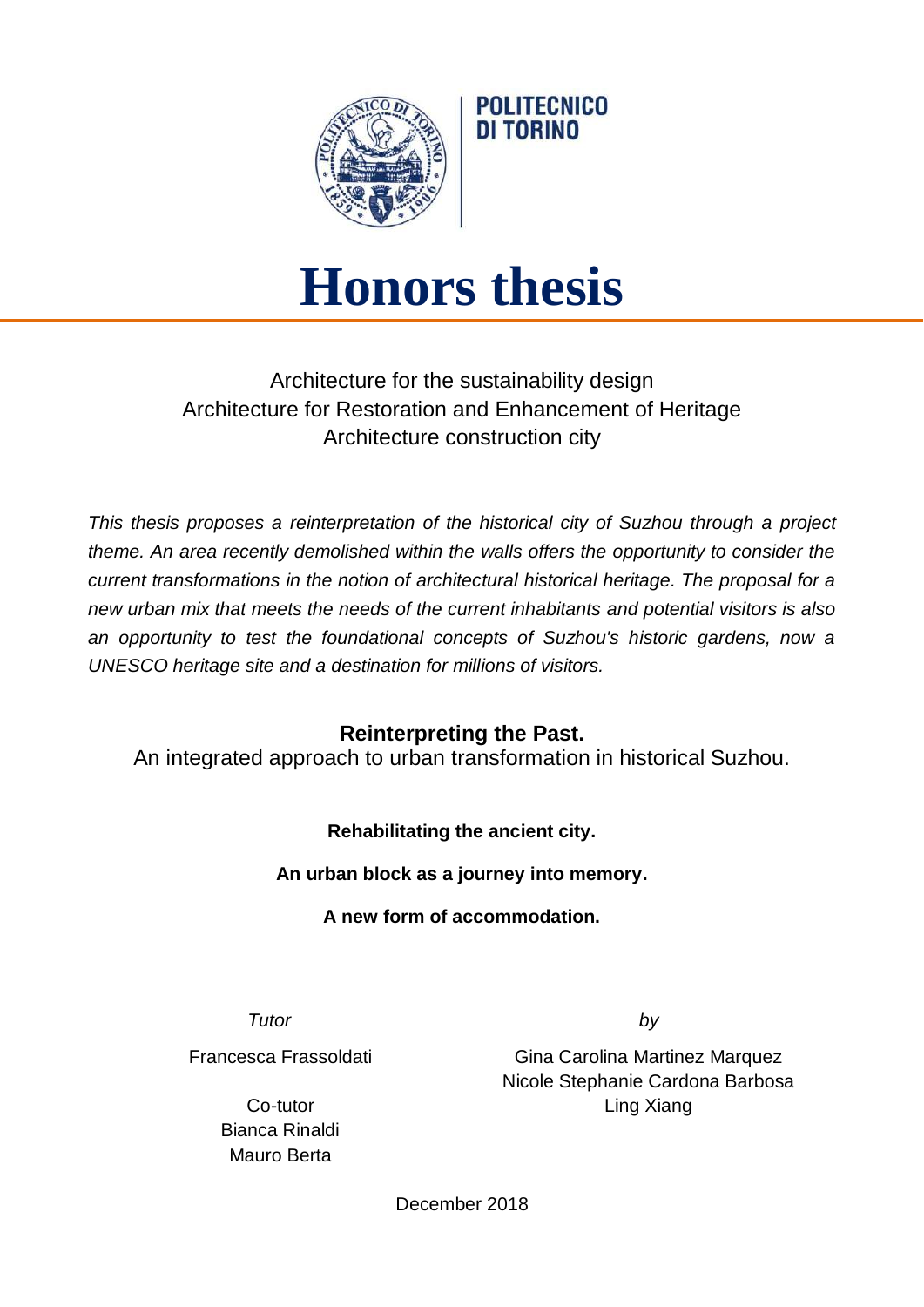

# **Honors thesis**

**POLITECNICO** DI TORINO

## Architecture for the sustainability design Architecture for Restoration and Enhancement of Heritage Architecture construction city

*This thesis proposes a reinterpretation of the historical city of Suzhou through a project theme. An area recently demolished within the walls offers the opportunity to consider the current transformations in the notion of architectural historical heritage. The proposal for a new urban mix that meets the needs of the current inhabitants and potential visitors is also an opportunity to test the foundational concepts of Suzhou's historic gardens, now a UNESCO heritage site and a destination for millions of visitors.*

### **Reinterpreting the Past.**

An integrated approach to urban transformation in historical Suzhou.

**Rehabilitating the ancient city.**

**An urban block as a journey into memory.**

**A new form of accommodation.**

*Tutor by*

Francesca Frassoldati

Co-tutor Bianca Rinaldi Mauro Berta

Gina Carolina Martinez Marquez Nicole Stephanie Cardona Barbosa Ling Xiang

December 2018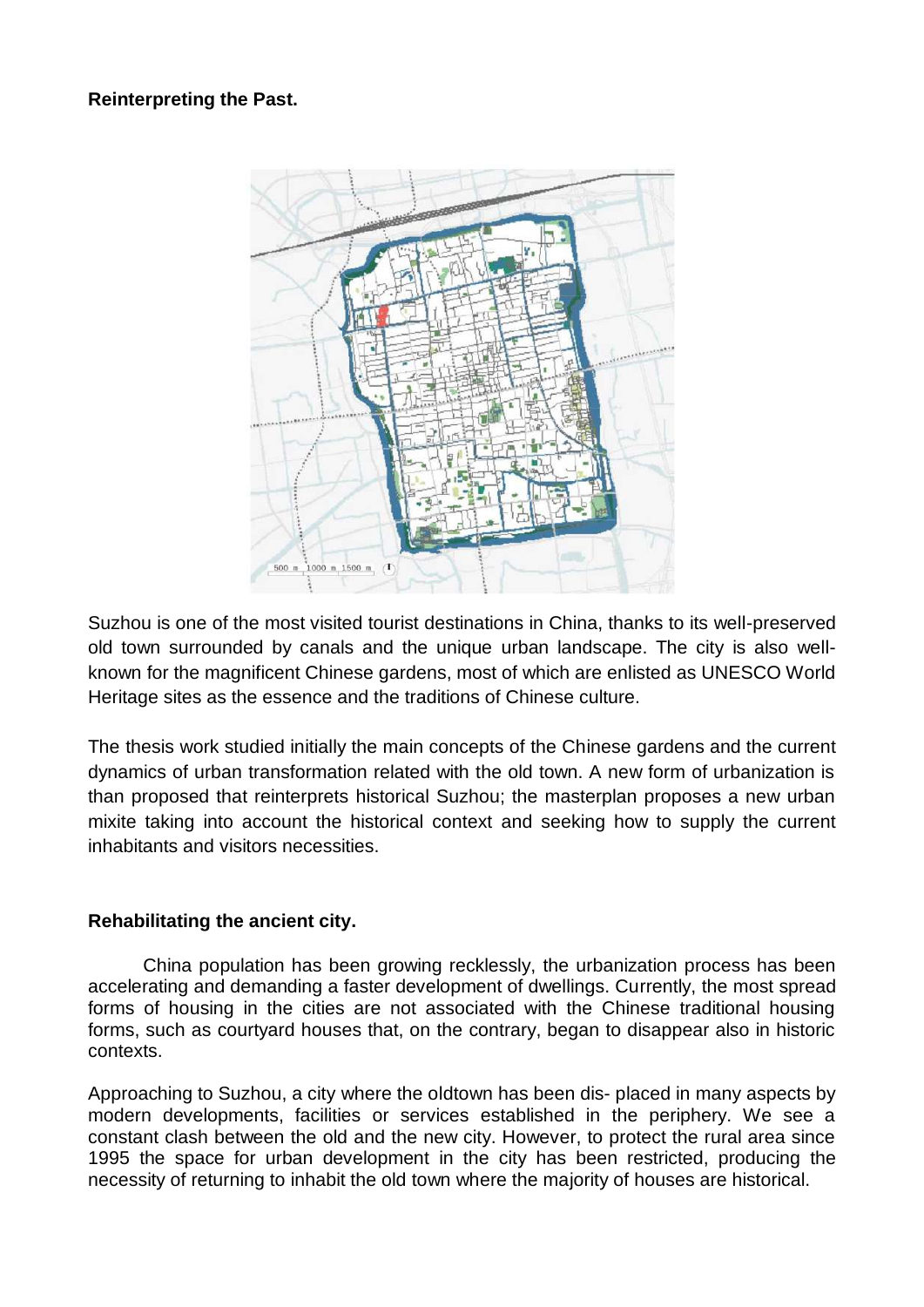#### **Reinterpreting the Past.**



Suzhou is one of the most visited tourist destinations in China, thanks to its well-preserved old town surrounded by canals and the unique urban landscape. The city is also wellknown for the magnificent Chinese gardens, most of which are enlisted as UNESCO World Heritage sites as the essence and the traditions of Chinese culture.

The thesis work studied initially the main concepts of the Chinese gardens and the current dynamics of urban transformation related with the old town. A new form of urbanization is than proposed that reinterprets historical Suzhou; the masterplan proposes a new urban mixite taking into account the historical context and seeking how to supply the current inhabitants and visitors necessities.

#### **Rehabilitating the ancient city.**

China population has been growing recklessly, the urbanization process has been accelerating and demanding a faster development of dwellings. Currently, the most spread forms of housing in the cities are not associated with the Chinese traditional housing forms, such as courtyard houses that, on the contrary, began to disappear also in historic contexts.

Approaching to Suzhou, a city where the oldtown has been dis- placed in many aspects by modern developments, facilities or services established in the periphery. We see a constant clash between the old and the new city. However, to protect the rural area since 1995 the space for urban development in the city has been restricted, producing the necessity of returning to inhabit the old town where the majority of houses are historical.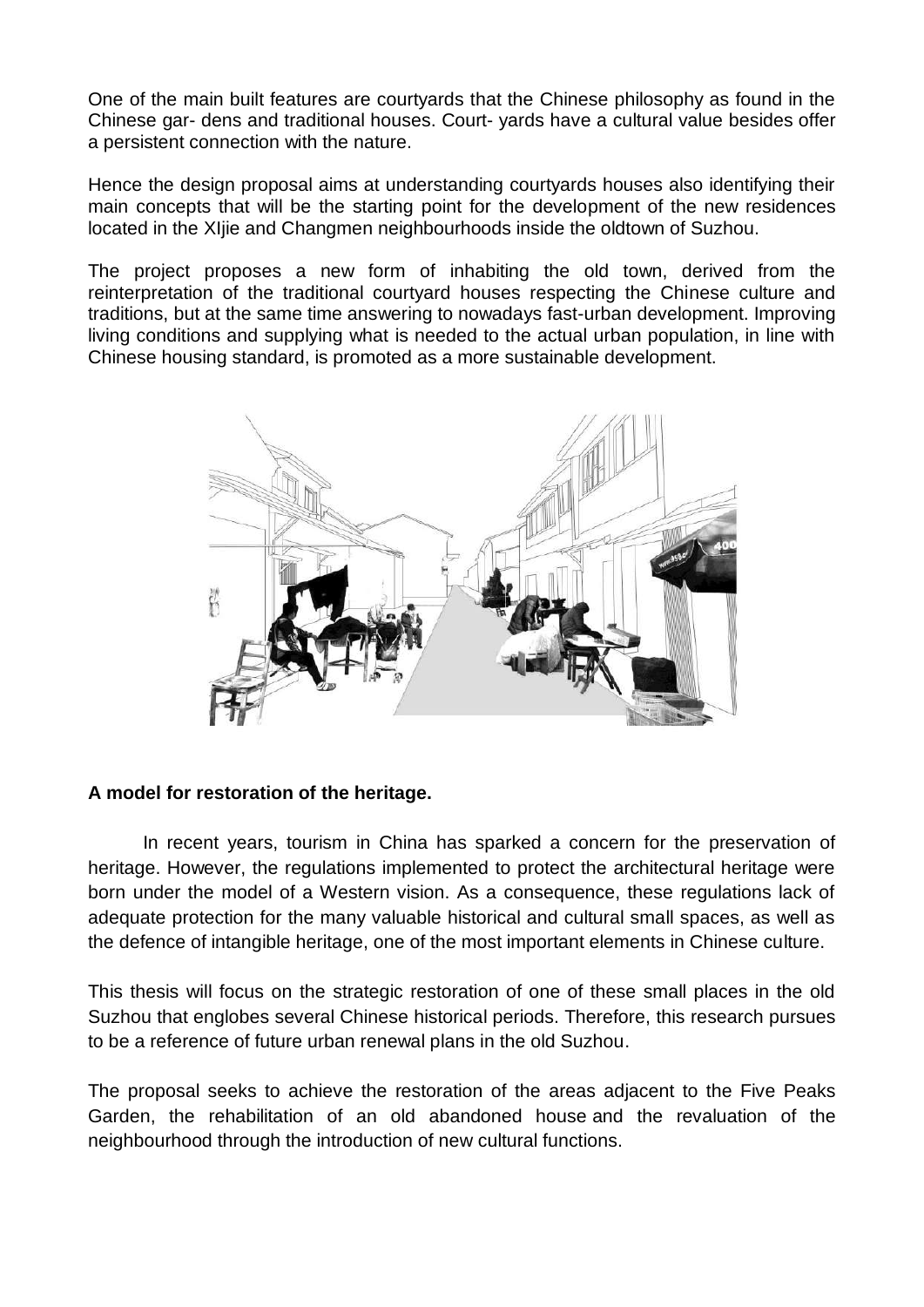One of the main built features are courtyards that the Chinese philosophy as found in the Chinese gar- dens and traditional houses. Court- yards have a cultural value besides offer a persistent connection with the nature.

Hence the design proposal aims at understanding courtyards houses also identifying their main concepts that will be the starting point for the development of the new residences located in the XIjie and Changmen neighbourhoods inside the oldtown of Suzhou.

The project proposes a new form of inhabiting the old town, derived from the reinterpretation of the traditional courtyard houses respecting the Chinese culture and traditions, but at the same time answering to nowadays fast-urban development. Improving living conditions and supplying what is needed to the actual urban population, in line with Chinese housing standard, is promoted as a more sustainable development.



#### **A model for restoration of the heritage.**

In recent years, tourism in China has sparked a concern for the preservation of heritage. However, the regulations implemented to protect the architectural heritage were born under the model of a Western vision. As a consequence, these regulations lack of adequate protection for the many valuable historical and cultural small spaces, as well as the defence of intangible heritage, one of the most important elements in Chinese culture.

This thesis will focus on the strategic restoration of one of these small places in the old Suzhou that englobes several Chinese historical periods. Therefore, this research pursues to be a reference of future urban renewal plans in the old Suzhou.

The proposal seeks to achieve the restoration of the areas adjacent to the Five Peaks Garden, the rehabilitation of an old abandoned house and the revaluation of the neighbourhood through the introduction of new cultural functions.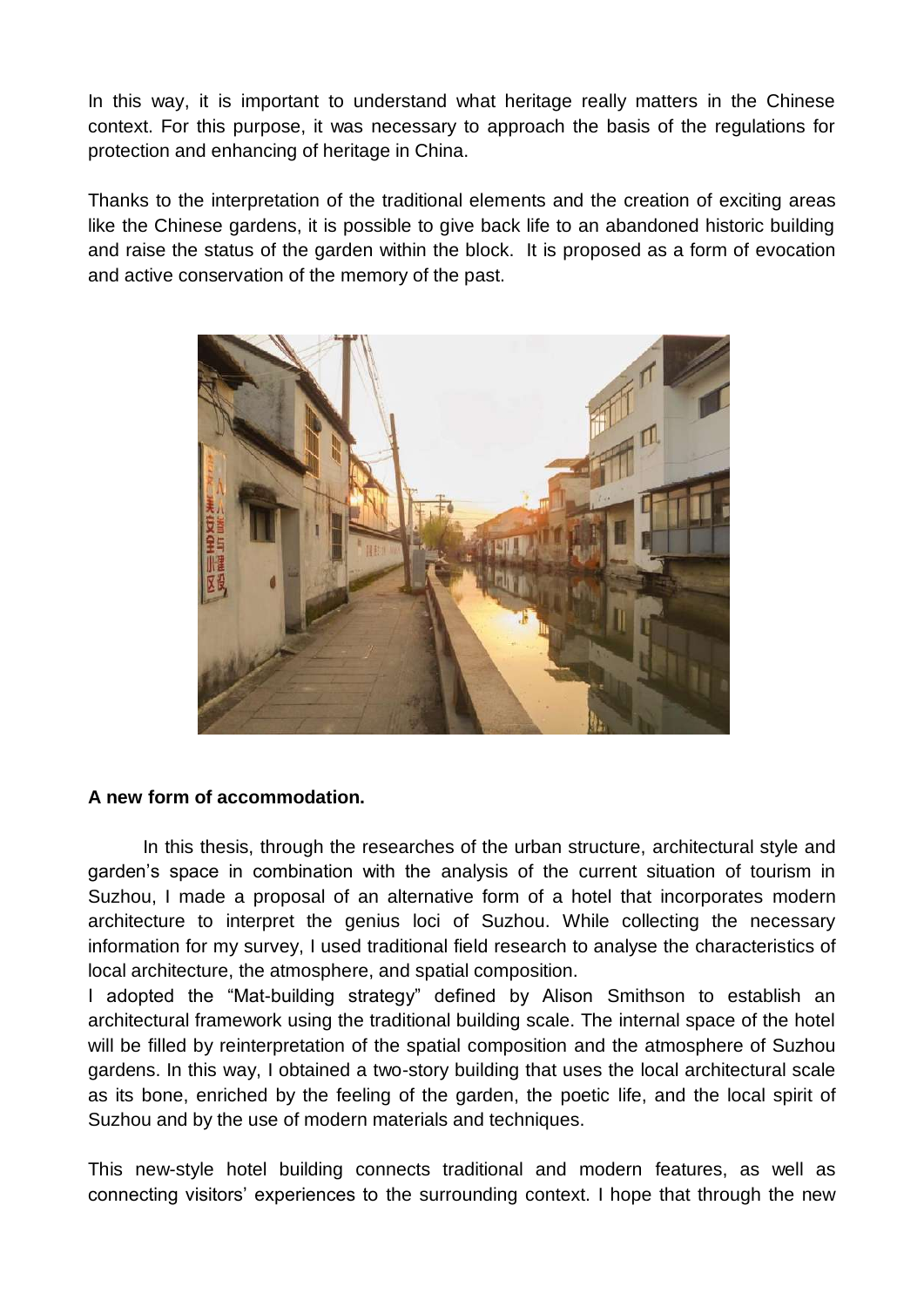In this way, it is important to understand what heritage really matters in the Chinese context. For this purpose, it was necessary to approach the basis of the regulations for protection and enhancing of heritage in China.

Thanks to the interpretation of the traditional elements and the creation of exciting areas like the Chinese gardens, it is possible to give back life to an abandoned historic building and raise the status of the garden within the block. It is proposed as a form of evocation and active conservation of the memory of the past.



#### **A new form of accommodation.**

In this thesis, through the researches of the urban structure, architectural style and garden's space in combination with the analysis of the current situation of tourism in Suzhou, I made a proposal of an alternative form of a hotel that incorporates modern architecture to interpret the genius loci of Suzhou. While collecting the necessary information for my survey, I used traditional field research to analyse the characteristics of local architecture, the atmosphere, and spatial composition.

I adopted the "Mat-building strategy" defined by Alison Smithson to establish an architectural framework using the traditional building scale. The internal space of the hotel will be filled by reinterpretation of the spatial composition and the atmosphere of Suzhou gardens. In this way, I obtained a two-story building that uses the local architectural scale as its bone, enriched by the feeling of the garden, the poetic life, and the local spirit of Suzhou and by the use of modern materials and techniques.

This new-style hotel building connects traditional and modern features, as well as connecting visitors' experiences to the surrounding context. I hope that through the new